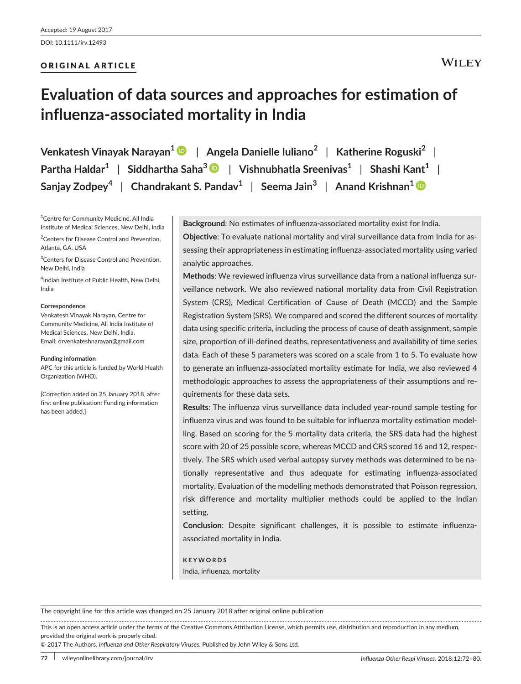DOI: 10.1111/irv.12493

## ORIGINAL ARTICLE

# **Evaluation of data sources and approaches for estimation of influenza- associated mortality in India**

**Venkatesh Vinayak Narayan<sup>1</sup>** | **Angela Danielle Iuliano<sup>2</sup>** | **Katherine Roguski<sup>2</sup>** | **Partha Haldar<sup>1</sup>** | **Siddhartha Saha<sup>3</sup>** | **Vishnubhatla Sreenivas<sup>1</sup>** | **Shashi Kant<sup>1</sup>** | **Sanjay Zodpey<sup>4</sup>** | **Chandrakant S. Pandav<sup>1</sup>** | **Seema Jain<sup>3</sup>** | **Anand Krishnan<sup>1</sup>**

<sup>1</sup>Centre for Community Medicine, All India Institute of Medical Sciences, New Delhi, India

<sup>2</sup>Centers for Disease Control and Prevention, Atlanta, GA, USA

<sup>3</sup>Centers for Disease Control and Prevention, New Delhi, India

4 Indian Institute of Public Health, New Delhi, India

#### **Correspondence**

Venkatesh Vinayak Narayan, Centre for Community Medicine, All India Institute of Medical Sciences, New Delhi, India. Email: drvenkateshnarayan@gmail.com

#### **Funding information**

APC for this article is funded by World Health Organization (WHO).

[Correction added on 25 January 2018, after first online publication: Funding information has been added.]

**Background**: No estimates of influenza- associated mortality exist for India.

**Objective**: To evaluate national mortality and viral surveillance data from India for assessing their appropriateness in estimating influenza- associated mortality using varied analytic approaches.

**Methods**: We reviewed influenza virus surveillance data from a national influenza surveillance network. We also reviewed national mortality data from Civil Registration System (CRS), Medical Certification of Cause of Death (MCCD) and the Sample Registration System (SRS). We compared and scored the different sources of mortality data using specific criteria, including the process of cause of death assignment, sample size, proportion of ill- defined deaths, representativeness and availability of time series data. Each of these 5 parameters was scored on a scale from 1 to 5. To evaluate how to generate an influenza-associated mortality estimate for India, we also reviewed 4 methodologic approaches to assess the appropriateness of their assumptions and requirements for these data sets.

**Results**: The influenza virus surveillance data included year- round sample testing for influenza virus and was found to be suitable for influenza mortality estimation modelling. Based on scoring for the 5 mortality data criteria, the SRS data had the highest score with 20 of 25 possible score, whereas MCCD and CRS scored 16 and 12, respectively. The SRS which used verbal autopsy survey methods was determined to be nationally representative and thus adequate for estimating influenza-associated mortality. Evaluation of the modelling methods demonstrated that Poisson regression, risk difference and mortality multiplier methods could be applied to the Indian setting.

**Conclusion**: Despite significant challenges, it is possible to estimate influenzaassociated mortality in India.

**KEYWORDS** India, influenza, mortality

The copyright line for this article was changed on 25 January 2018 after original online publication

This is an open access article under the terms of the Creative Commons Attribution License, which permits use, distribution and reproduction in any medium, provided the original work is properly cited.

© 2017 The Authors. *Influenza and Other Respiratory Viruses*. Published by John Wiley & Sons Ltd.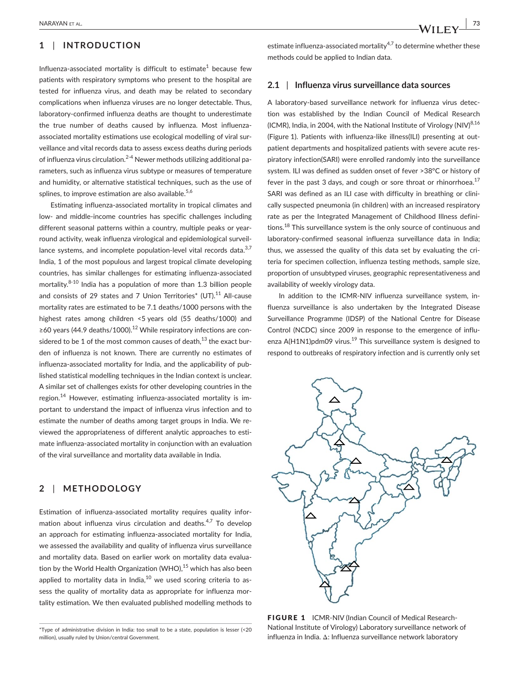## **1** | **INTRODUCTION**

Influenza-associated mortality is difficult to estimate $^1$  because few patients with respiratory symptoms who present to the hospital are tested for influenza virus, and death may be related to secondary complications when influenza viruses are no longer detectable. Thus, laboratory-confirmed influenza deaths are thought to underestimate the true number of deaths caused by influenza. Most influenzaassociated mortality estimations use ecological modelling of viral surveillance and vital records data to assess excess deaths during periods of influenza virus circulation.<sup>2-4</sup> Newer methods utilizing additional parameters, such as influenza virus subtype or measures of temperature and humidity, or alternative statistical techniques, such as the use of splines, to improve estimation are also available.<sup>5,6</sup>

Estimating influenza- associated mortality in tropical climates and low- and middle-income countries has specific challenges including different seasonal patterns within a country, multiple peaks or yearround activity, weak influenza virological and epidemiological surveillance systems, and incomplete population-level vital records data. $3,7$ India, 1 of the most populous and largest tropical climate developing countries, has similar challenges for estimating influenza- associated mortality.<sup>8-10</sup> India has a population of more than 1.3 billion people and consists of 29 states and 7 Union Territories\*  $(UT)$ .<sup>11</sup> All-cause mortality rates are estimated to be 7.1 deaths/1000 persons with the highest rates among children <5 years old (55 deaths/1000) and ≥60 years (44.9 deaths/1000).<sup>12</sup> While respiratory infections are considered to be 1 of the most common causes of death, $^{13}$  the exact burden of influenza is not known. There are currently no estimates of influenza- associated mortality for India, and the applicability of published statistical modelling techniques in the Indian context is unclear. A similar set of challenges exists for other developing countries in the region.<sup>14</sup> However, estimating influenza-associated mortality is important to understand the impact of influenza virus infection and to estimate the number of deaths among target groups in India. We reviewed the appropriateness of different analytic approaches to estimate influenza- associated mortality in conjunction with an evaluation of the viral surveillance and mortality data available in India.

## **2** | **METHODOLOGY**

Estimation of influenza- associated mortality requires quality information about influenza virus circulation and deaths.<sup>4,7</sup> To develop an approach for estimating influenza-associated mortality for India, we assessed the availability and quality of influenza virus surveillance and mortality data. Based on earlier work on mortality data evaluation by the World Health Organization (WHO), $15$  which has also been applied to mortality data in India, $^{10}$  we used scoring criteria to assess the quality of mortality data as appropriate for influenza mortality estimation. We then evaluated published modelling methods to estimate influenza-associated mortality<sup>4,7</sup> to determine whether these methods could be applied to Indian data.

#### **2.1** | **Influenza virus surveillance data sources**

A laboratory- based surveillance network for influenza virus detection was established by the Indian Council of Medical Research (ICMR), India, in 2004, with the National Institute of Virology (NIV) $^{8,16}$ (Figure 1). Patients with influenza- like illness(ILI) presenting at outpatient departments and hospitalized patients with severe acute respiratory infection(SARI) were enrolled randomly into the surveillance system. ILI was defined as sudden onset of fever >38°C or history of fever in the past 3 days, and cough or sore throat or rhinorrhoea. $17$ SARI was defined as an ILI case with difficulty in breathing or clinically suspected pneumonia (in children) with an increased respiratory rate as per the Integrated Management of Childhood Illness definitions.<sup>18</sup> This surveillance system is the only source of continuous and laboratory-confirmed seasonal influenza surveillance data in India; thus, we assessed the quality of this data set by evaluating the criteria for specimen collection, influenza testing methods, sample size, proportion of unsubtyped viruses, geographic representativeness and availability of weekly virology data.

In addition to the ICMR-NIV influenza surveillance system, influenza surveillance is also undertaken by the Integrated Disease Surveillance Programme (IDSP) of the National Centre for Disease Control (NCDC) since 2009 in response to the emergence of influenza  $A(H1N1)$ pdm09 virus.<sup>19</sup> This surveillance system is designed to respond to outbreaks of respiratory infection and is currently only set



FIGURE 1 ICMR-NIV (Indian Council of Medical Research-National Institute of Virology) Laboratory surveillance network of influenza in India. Δ: Influenza surveillance network laboratory

<sup>\*</sup>Type of administrative division in India: too small to be a state, population is lesser (<20 million), usually ruled by Union/central Government.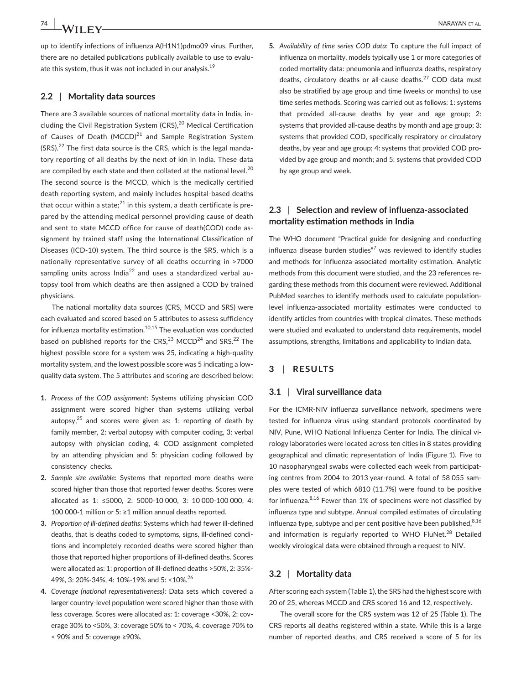up to identify infections of influenza A(H1N1)pdmo09 virus. Further, there are no detailed publications publically available to use to evaluate this system, thus it was not included in our analysis.<sup>19</sup>

#### **2.2** | **Mortality data sources**

There are 3 available sources of national mortality data in India, including the Civil Registration System (CRS),<sup>20</sup> Medical Certification of Causes of Death  $(MCCD)^{21}$  and Sample Registration System  $(SRS).<sup>22</sup>$  The first data source is the CRS, which is the legal mandatory reporting of all deaths by the next of kin in India. These data are compiled by each state and then collated at the national level.<sup>20</sup> The second source is the MCCD, which is the medically certified death reporting system, and mainly includes hospital-based deaths that occur within a state; $^{21}$  in this system, a death certificate is prepared by the attending medical personnel providing cause of death and sent to state MCCD office for cause of death(COD) code assignment by trained staff using the International Classification of Diseases (ICD-10) system. The third source is the SRS, which is a nationally representative survey of all deaths occurring in >7000 sampling units across India<sup>22</sup> and uses a standardized verbal autopsy tool from which deaths are then assigned a COD by trained physicians.

The national mortality data sources (CRS, MCCD and SRS) were each evaluated and scored based on 5 attributes to assess sufficiency for influenza mortality estimation.<sup>10,15</sup> The evaluation was conducted based on published reports for the  $CRS<sub>,23</sub> MCCD<sub>24</sub>$  and SRS.<sup>22</sup> The highest possible score for a system was 25, indicating a high-quality mortality system, and the lowest possible score was 5 indicating a lowquality data system. The 5 attributes and scoring are described below:

- **1.** *Process of the COD assignment*: Systems utilizing physician COD assignment were scored higher than systems utilizing verbal autopsy, $25$  and scores were given as: 1: reporting of death by family member, 2: verbal autopsy with computer coding, 3: verbal autopsy with physician coding, 4: COD assignment completed by an attending physician and 5: physician coding followed by consistency checks.
- **2.** *Sample size available*: Systems that reported more deaths were scored higher than those that reported fewer deaths. Scores were allocated as 1: ≤5000, 2: 5000-10 000, 3: 10 000-100 000, 4: 100 000-1 million or 5: ≥1 million annual deaths reported.
- **3.** *Proportion of ill-defined deaths*: Systems which had fewer ill-defined deaths, that is deaths coded to symptoms, signs, ill-defined conditions and incompletely recorded deaths were scored higher than those that reported higher proportions of ill-defined deaths. Scores were allocated as: 1: proportion of ill-defined deaths >50%, 2: 35%- 49%, 3: 20%-34%, 4: 10%-19% and 5: <10%.<sup>26</sup>
- **4.** *Coverage (national representativeness)*: Data sets which covered a larger country-level population were scored higher than those with less coverage. Scores were allocated as: 1: coverage <30%, 2: coverage 30% to <50%, 3: coverage 50% to < 70%, 4: coverage 70% to < 90% and 5: coverage ≥90%.

**5.** *Availability of time series COD data*: To capture the full impact of influenza on mortality, models typically use 1 or more categories of coded mortality data: pneumonia and influenza deaths, respiratory deaths, circulatory deaths or all-cause deaths.<sup>27</sup> COD data must also be stratified by age group and time (weeks or months) to use time series methods. Scoring was carried out as follows: 1: systems that provided all-cause deaths by year and age group; 2: systems that provided all-cause deaths by month and age group; 3: systems that provided COD, specifically respiratory or circulatory deaths, by year and age group; 4: systems that provided COD provided by age group and month; and 5: systems that provided COD by age group and week.

## **2.3** | **Selection and review of influenza- associated mortality estimation methods in India**

The WHO document "Practical guide for designing and conducting influenza disease burden studies"<sup>7</sup> was reviewed to identify studies and methods for influenza-associated mortality estimation. Analytic methods from this document were studied, and the 23 references regarding these methods from this document were reviewed. Additional PubMed searches to identify methods used to calculate populationlevel influenza- associated mortality estimates were conducted to identify articles from countries with tropical climates. These methods were studied and evaluated to understand data requirements, model assumptions, strengths, limitations and applicability to Indian data.

### **3** | **RESULTS**

#### **3.1** | **Viral surveillance data**

For the ICMR-NIV influenza surveillance network, specimens were tested for influenza virus using standard protocols coordinated by NIV, Pune, WHO National Influenza Center for India. The clinical virology laboratories were located across ten cities in 8 states providing geographical and climatic representation of India (Figure 1). Five to 10 nasopharyngeal swabs were collected each week from participating centres from 2004 to 2013 year-round. A total of 58 055 samples were tested of which 6810 (11.7%) were found to be positive for influenza.<sup>8,16</sup> Fewer than 1% of specimens were not classified by influenza type and subtype. Annual compiled estimates of circulating influenza type, subtype and per cent positive have been published, $8,16$ and information is regularly reported to WHO FluNet.<sup>28</sup> Detailed weekly virological data were obtained through a request to NIV.

### **3.2** | **Mortality data**

After scoring each system (Table 1), the SRS had the highest score with 20 of 25, whereas MCCD and CRS scored 16 and 12, respectively.

The overall score for the CRS system was 12 of 25 (Table 1). The CRS reports all deaths registered within a state. While this is a large number of reported deaths, and CRS received a score of 5 for its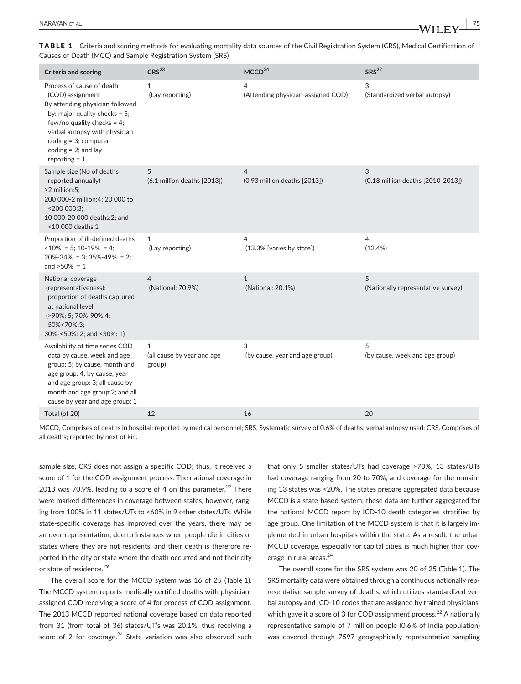Causes of Death (MCC) and Sample Registration System (SRS)

| <b>Criteria and scoring</b>                                                                                                                                                                                                                                    | CRS <sup>23</sup>                                    | MCCD <sup>24</sup>                                   | SRS <sup>22</sup>                       |
|----------------------------------------------------------------------------------------------------------------------------------------------------------------------------------------------------------------------------------------------------------------|------------------------------------------------------|------------------------------------------------------|-----------------------------------------|
| Process of cause of death<br>(COD) assignment<br>By attending physician followed<br>by: major quality checks = $5$ ;<br>few/no quality checks = $4$ ;<br>verbal autopsy with physician<br>coding $= 3$ ; computer<br>coding $= 2$ ; and lay<br>reporting $= 1$ | $\mathbf{1}$<br>(Lay reporting)                      | $\overline{4}$<br>(Attending physician-assigned COD) | 3<br>(Standardized verbal autopsy)      |
| Sample size (No of deaths<br>reported annually)<br>>2 million:5;<br>200 000-2 million:4; 20 000 to<br><200 000:3;<br>10 000-20 000 deaths:2; and<br><10 000 deaths:1                                                                                           | 5<br>(6.1 million deaths [2013])                     | $\overline{4}$<br>(0.93 million deaths [2013])       | 3<br>(0.18 million deaths [2010-2013])  |
| Proportion of ill-defined deaths<br>$<10\% = 5$ ; 10-19% = 4;<br>$20\% - 34\% = 3$ ; 35%-49% = 2;<br>and $>50\% = 1$                                                                                                                                           | $1\,$<br>(Lay reporting)                             | $\overline{4}$<br>(13.3% [varies by state])          | $\overline{4}$<br>(12.4%)               |
| National coverage<br>(representativeness):<br>proportion of deaths captured<br>at national level<br>(>90%: 5; 70%-90%:4;<br>50%<70%:3:<br>30%-<50%: 2; and <30%: 1)                                                                                            | $\overline{4}$<br>(National: 70.9%)                  | $\mathbf{1}$<br>(National: 20.1%)                    | 5<br>(Nationally representative survey) |
| Availability of time series COD<br>data by cause, week and age<br>group: 5; by cause, month and<br>age group: 4; by cause, year<br>and age group: 3; all cause by<br>month and age group:2; and all<br>cause by year and age group: 1                          | $\mathbf{1}$<br>(all cause by year and age<br>group) | 3<br>(by cause, year and age group)                  | 5<br>(by cause, week and age group)     |
| Total (of 20)                                                                                                                                                                                                                                                  | 12                                                   | 16                                                   | 20                                      |

MCCD, Comprises of deaths in hospital; reported by medical personnel; SRS, Systematic survey of 0.6% of deaths; verbal autopsy used; CRS, Comprises of

sample size, CRS does not assign a specific COD; thus, it received a score of 1 for the COD assignment process. The national coverage in 2013 was 70.9%, leading to a score of 4 on this parameter.<sup>23</sup> There were marked differences in coverage between states, however, ranging from 100% in 11 states/UTs to <60% in 9 other states/UTs. While state- specific coverage has improved over the years, there may be an over- representation, due to instances when people die in cities or states where they are not residents, and their death is therefore reported in the city or state where the death occurred and not their city or state of residence.<sup>29</sup>

all deaths; reported by next of kin.

The overall score for the MCCD system was 16 of 25 (Table 1). The MCCD system reports medically certified deaths with physicianassigned COD receiving a score of 4 for process of COD assignment. The 2013 MCCD reported national coverage based on data reported from 31 (from total of 36) states/UT's was 20.1%, thus receiving a score of 2 for coverage. $24$  State variation was also observed such

that only 5 smaller states/UTs had coverage >70%, 13 states/UTs had coverage ranging from 20 to 70%, and coverage for the remaining 13 states was <20%. The states prepare aggregated data because MCCD is a state-based system; these data are further aggregated for the national MCCD report by ICD-10 death categories stratified by age group. One limitation of the MCCD system is that it is largely implemented in urban hospitals within the state. As a result, the urban MCCD coverage, especially for capital cities, is much higher than coverage in rural areas.<sup>24</sup>

The overall score for the SRS system was 20 of 25 (Table 1). The SRS mortality data were obtained through a continuous nationally representative sample survey of deaths, which utilizes standardized verbal autopsy and ICD-10 codes that are assigned by trained physicians, which gave it a score of 3 for COD assignment process.<sup>22</sup> A nationally representative sample of 7 million people (0.6% of India population) was covered through 7597 geographically representative sampling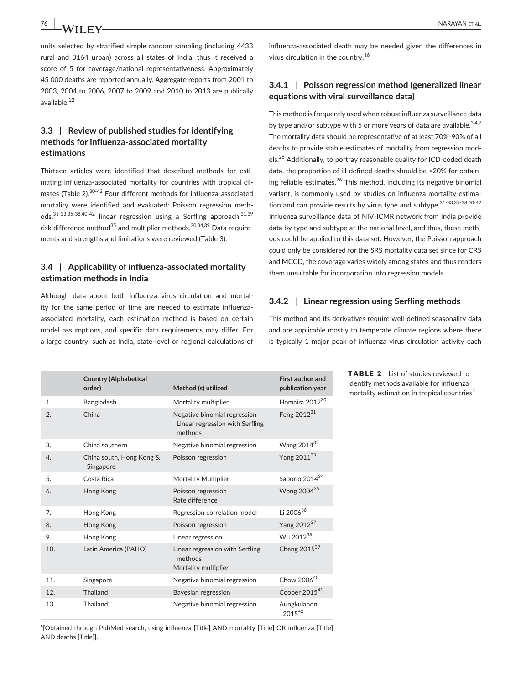units selected by stratified simple random sampling (including 4433 rural and 3164 urban) across all states of India, thus it received a score of 5 for coverage/national representativeness. Approximately 45 000 deaths are reported annually. Aggregate reports from 2001 to 2003, 2004 to 2006, 2007 to 2009 and 2010 to 2013 are publically available.<sup>22</sup>

## **3.3** | **Review of published studies for identifying methods for influenza- associated mortality estimations**

Thirteen articles were identified that described methods for estimating influenza- associated mortality for countries with tropical climates (Table 2).<sup>30-42</sup> Four different methods for influenza-associated mortality were identified and evaluated: Poisson regression methods,  $31-33,35-38,40-42$  linear regression using a Serfling approach,  $31,39$ risk difference method<sup>35</sup> and multiplier methods.<sup>30,34,39</sup> Data requirements and strengths and limitations were reviewed (Table 3).

## **3.4** | **Applicability of influenza- associated mortality estimation methods in India**

Although data about both influenza virus circulation and mortality for the same period of time are needed to estimate influenzaassociated mortality, each estimation method is based on certain model assumptions, and specific data requirements may differ. For a large country, such as India, state- level or regional calculations of influenza- associated death may be needed given the differences in virus circulation in the country.<sup>16</sup>

## **3.4.1** | **Poisson regression method (generalized linear equations with viral surveillance data)**

This method is frequently used when robust influenza surveillance data by type and/or subtype with 5 or more years of data are available.  $3,4,7$ The mortality data should be representative of at least 70%- 90% of all deaths to provide stable estimates of mortality from regression models.<sup>26</sup> Additionally, to portray reasonable quality for ICD-coded death data, the proportion of ill- defined deaths should be <20% for obtaining reliable estimates. $^{26}$  This method, including its negative binomial variant, is commonly used by studies on influenza mortality estimation and can provide results by virus type and subtype. 31-33,35-38,40-42 Influenza surveillance data of NIV- ICMR network from India provide data by type and subtype at the national level, and thus, these methods could be applied to this data set. However, the Poisson approach could only be considered for the SRS mortality data set since for CRS and MCCD, the coverage varies widely among states and thus renders them unsuitable for incorporation into regression models.

#### **3.4.2** | **Linear regression using Serfling methods**

This method and its derivatives require well- defined seasonality data and are applicable mostly to temperate climate regions where there is typically 1 major peak of influenza virus circulation activity each

|     | <b>Country (Alphabetical</b><br>order) | Method (s) utilized                                                        | <b>First author and</b><br>publication year |
|-----|----------------------------------------|----------------------------------------------------------------------------|---------------------------------------------|
| 1.  | Bangladesh                             | Mortality multiplier                                                       | Homaira 2012 <sup>30</sup>                  |
| 2.  | China                                  | Negative binomial regression<br>Linear regression with Serfling<br>methods | Feng 2012 <sup>31</sup>                     |
| 3.  | China southern                         | Negative binomial regression                                               | Wang 2014 <sup>32</sup>                     |
| 4.  | China south, Hong Kong &<br>Singapore  | Poisson regression                                                         | Yang 201133                                 |
| 5.  | Costa Rica                             | <b>Mortality Multiplier</b>                                                | Saborio 2014 <sup>34</sup>                  |
| 6.  | Hong Kong                              | Poisson regression<br>Rate difference                                      | Wong 2004 <sup>35</sup>                     |
| 7.  | Hong Kong                              | Regression correlation model                                               | Li 200636                                   |
| 8.  | Hong Kong                              | Poisson regression                                                         | Yang 2012 <sup>37</sup>                     |
| 9.  | Hong Kong                              | Linear regression                                                          | Wu 2012 <sup>38</sup>                       |
| 10. | Latin America (PAHO)                   | Linear regression with Serfling<br>methods<br>Mortality multiplier         | Cheng 2015 <sup>39</sup>                    |
| 11. | Singapore                              | Negative binomial regression                                               | Chow 200640                                 |
| 12. | Thailand                               | Bayesian regression                                                        | Cooper 2015 <sup>41</sup>                   |
| 13. | Thailand                               | Negative binomial regression                                               | Aungkulanon<br>$2015^{42}$                  |

a<sup>[</sup>Obtained through PubMed search, using influenza [Title] AND mortality [Title] OR influenza [Title] AND deaths [Title]].

TABLE 2 List of studies reviewed to identify methods available for influenza mortality estimation in tropical countries<sup>a</sup>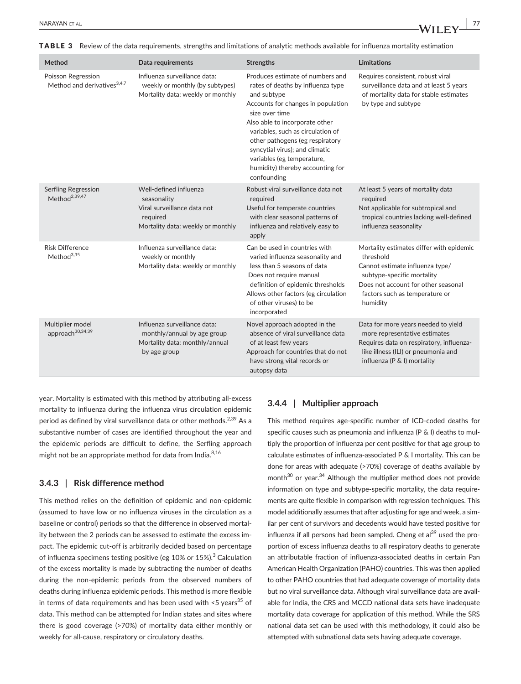| Method                                                        | Data requirements                                                                                                     | <b>Strengths</b>                                                                                                                                                                                                                                                                                                                                                          | <b>Limitations</b>                                                                                                                                                                                          |
|---------------------------------------------------------------|-----------------------------------------------------------------------------------------------------------------------|---------------------------------------------------------------------------------------------------------------------------------------------------------------------------------------------------------------------------------------------------------------------------------------------------------------------------------------------------------------------------|-------------------------------------------------------------------------------------------------------------------------------------------------------------------------------------------------------------|
| Poisson Regression<br>Method and derivatives <sup>3,4,7</sup> | Influenza surveillance data:<br>weekly or monthly (by subtypes)<br>Mortality data: weekly or monthly                  | Produces estimate of numbers and<br>rates of deaths by influenza type<br>and subtype<br>Accounts for changes in population<br>size over time<br>Also able to incorporate other<br>variables, such as circulation of<br>other pathogens (eg respiratory<br>syncytial virus); and climatic<br>variables (eg temperature,<br>humidity) thereby accounting for<br>confounding | Requires consistent, robust viral<br>surveillance data and at least 5 years<br>of mortality data for stable estimates<br>by type and subtype                                                                |
| Serfling Regression<br>Method <sup>2,39,47</sup>              | Well-defined influenza<br>seasonality<br>Viral surveillance data not<br>required<br>Mortality data: weekly or monthly | Robust viral surveillance data not<br>required<br>Useful for temperate countries<br>with clear seasonal patterns of<br>influenza and relatively easy to<br>apply                                                                                                                                                                                                          | At least 5 years of mortality data<br>required<br>Not applicable for subtropical and<br>tropical countries lacking well-defined<br>influenza seasonality                                                    |
| <b>Risk Difference</b><br>Method <sup>3,35</sup>              | Influenza surveillance data:<br>weekly or monthly<br>Mortality data: weekly or monthly                                | Can be used in countries with<br>varied influenza seasonality and<br>less than 5 seasons of data<br>Does not require manual<br>definition of epidemic thresholds<br>Allows other factors (eg circulation<br>of other viruses) to be<br>incorporated                                                                                                                       | Mortality estimates differ with epidemic<br>threshold<br>Cannot estimate influenza type/<br>subtype-specific mortality<br>Does not account for other seasonal<br>factors such as temperature or<br>humidity |
| Multiplier model<br>approach <sup>30,34,39</sup>              | Influenza surveillance data:<br>monthly/annual by age group<br>Mortality data: monthly/annual<br>by age group         | Novel approach adopted in the<br>absence of viral surveillance data<br>of at least few years<br>Approach for countries that do not                                                                                                                                                                                                                                        | Data for more years needed to yield<br>more representative estimates<br>Requires data on respiratory, influenza-<br>like illness (ILI) or pneumonia and                                                     |

TABLE 3 Review of the data requirements, strengths and limitations of analytic methods available for influenza mortality estimation

year. Mortality is estimated with this method by attributing all-excess mortality to influenza during the influenza virus circulation epidemic period as defined by viral surveillance data or other methods.<sup>2,39</sup> As a substantive number of cases are identified throughout the year and the epidemic periods are difficult to define, the Serfling approach might not be an appropriate method for data from India.<sup>8,16</sup>

#### **3.4.3** | **Risk difference method**

This method relies on the definition of epidemic and non-epidemic (assumed to have low or no influenza viruses in the circulation as a baseline or control) periods so that the difference in observed mortality between the 2 periods can be assessed to estimate the excess impact. The epidemic cut- off is arbitrarily decided based on percentage of influenza specimens testing positive (eg 10% or 15%). $^3$  Calculation of the excess mortality is made by subtracting the number of deaths during the non-epidemic periods from the observed numbers of deaths during influenza epidemic periods. This method is more flexible in terms of data requirements and has been used with  $\leq$  5 years<sup>35</sup> of data. This method can be attempted for Indian states and sites where there is good coverage (>70%) of mortality data either monthly or weekly for all-cause, respiratory or circulatory deaths.

### **3.4.4** | **Multiplier approach**

have strong vital records or

autopsy data

This method requires age-specific number of ICD-coded deaths for specific causes such as pneumonia and influenza (P & I) deaths to multiply the proportion of influenza per cent positive for that age group to calculate estimates of influenza- associated P & I mortality. This can be done for areas with adequate (>70%) coverage of deaths available by month<sup>30</sup> or year.<sup>34</sup> Although the multiplier method does not provide information on type and subtype-specific mortality, the data requirements are quite flexible in comparison with regression techniques. This model additionally assumes that after adjusting for age and week, a similar per cent of survivors and decedents would have tested positive for influenza if all persons had been sampled. Cheng et al<sup>39</sup> used the proportion of excess influenza deaths to all respiratory deaths to generate an attributable fraction of influenza- associated deaths in certain Pan American Health Organization (PAHO) countries. This was then applied to other PAHO countries that had adequate coverage of mortality data but no viral surveillance data. Although viral surveillance data are available for India, the CRS and MCCD national data sets have inadequate mortality data coverage for application of this method. While the SRS national data set can be used with this methodology, it could also be attempted with subnational data sets having adequate coverage.

influenza (P & I) mortality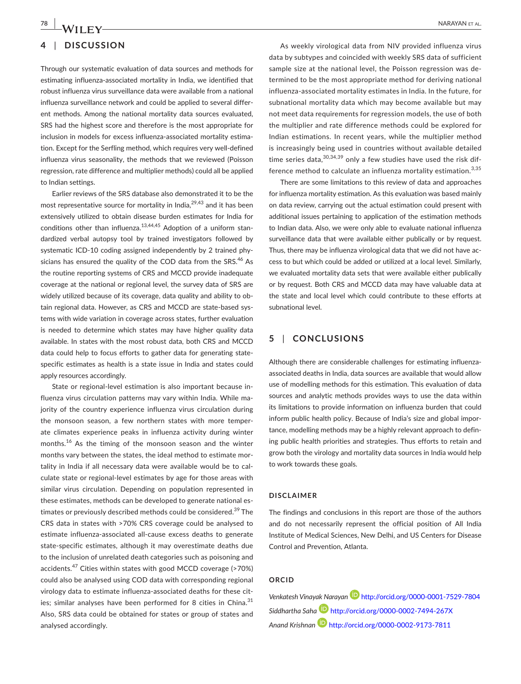## **4** | **DISCUSSION**

Through our systematic evaluation of data sources and methods for estimating influenza-associated mortality in India, we identified that robust influenza virus surveillance data were available from a national influenza surveillance network and could be applied to several different methods. Among the national mortality data sources evaluated, SRS had the highest score and therefore is the most appropriate for inclusion in models for excess influenza- associated mortality estimation. Except for the Serfling method, which requires very well- defined influenza virus seasonality, the methods that we reviewed (Poisson regression, rate difference and multiplier methods) could all be applied to Indian settings.

Earlier reviews of the SRS database also demonstrated it to be the most representative source for mortality in India,<sup>29,43</sup> and it has been extensively utilized to obtain disease burden estimates for India for conditions other than influenza.<sup>13,44,45</sup> Adoption of a uniform standardized verbal autopsy tool by trained investigators followed by systematic ICD-10 coding assigned independently by 2 trained physicians has ensured the quality of the COD data from the  $SRS^{46}$  As the routine reporting systems of CRS and MCCD provide inadequate coverage at the national or regional level, the survey data of SRS are widely utilized because of its coverage, data quality and ability to obtain regional data. However, as CRS and MCCD are state-based systems with wide variation in coverage across states, further evaluation is needed to determine which states may have higher quality data available. In states with the most robust data, both CRS and MCCD data could help to focus efforts to gather data for generating statespecific estimates as health is a state issue in India and states could apply resources accordingly.

State or regional-level estimation is also important because influenza virus circulation patterns may vary within India. While majority of the country experience influenza virus circulation during the monsoon season, a few northern states with more temperate climates experience peaks in influenza activity during winter months.16 As the timing of the monsoon season and the winter months vary between the states, the ideal method to estimate mortality in India if all necessary data were available would be to calculate state or regional-level estimates by age for those areas with similar virus circulation. Depending on population represented in these estimates, methods can be developed to generate national estimates or previously described methods could be considered.<sup>39</sup> The CRS data in states with >70% CRS coverage could be analysed to estimate influenza-associated all-cause excess deaths to generate state- specific estimates, although it may overestimate deaths due to the inclusion of unrelated death categories such as poisoning and accidents.<sup>47</sup> Cities within states with good MCCD coverage (>70%) could also be analysed using COD data with corresponding regional virology data to estimate influenza- associated deaths for these cities; similar analyses have been performed for 8 cities in China.<sup>31</sup> Also, SRS data could be obtained for states or group of states and analysed accordingly.

As weekly virological data from NIV provided influenza virus data by subtypes and coincided with weekly SRS data of sufficient sample size at the national level, the Poisson regression was determined to be the most appropriate method for deriving national influenza- associated mortality estimates in India. In the future, for subnational mortality data which may become available but may not meet data requirements for regression models, the use of both the multiplier and rate difference methods could be explored for Indian estimations. In recent years, while the multiplier method is increasingly being used in countries without available detailed time series data,  $30,34,39$  only a few studies have used the risk difference method to calculate an influenza mortality estimation.<sup>3,35</sup>

There are some limitations to this review of data and approaches for influenza mortality estimation. As this evaluation was based mainly on data review, carrying out the actual estimation could present with additional issues pertaining to application of the estimation methods to Indian data. Also, we were only able to evaluate national influenza surveillance data that were available either publically or by request. Thus, there may be influenza virological data that we did not have access to but which could be added or utilized at a local level. Similarly, we evaluated mortality data sets that were available either publically or by request. Both CRS and MCCD data may have valuable data at the state and local level which could contribute to these efforts at subnational level.

## **5** | **CONCLUSIONS**

Although there are considerable challenges for estimating influenzaassociated deaths in India, data sources are available that would allow use of modelling methods for this estimation. This evaluation of data sources and analytic methods provides ways to use the data within its limitations to provide information on influenza burden that could inform public health policy. Because of India's size and global importance, modelling methods may be a highly relevant approach to defining public health priorities and strategies. Thus efforts to retain and grow both the virology and mortality data sources in India would help to work towards these goals.

#### **DISCLAIMER**

The findings and conclusions in this report are those of the authors and do not necessarily represent the official position of All India Institute of Medical Sciences, New Delhi, and US Centers for Disease Control and Prevention, Atlanta.

## **ORCID**

*Venkatesh Vinayak Narayan* http://orcid.org/0000-0001-7529-7804 *Siddhartha Saha* http://orcid.org/0000-0002-7494-267X *Anand Krishnan* http://orcid.org/0000-0002-9173-7811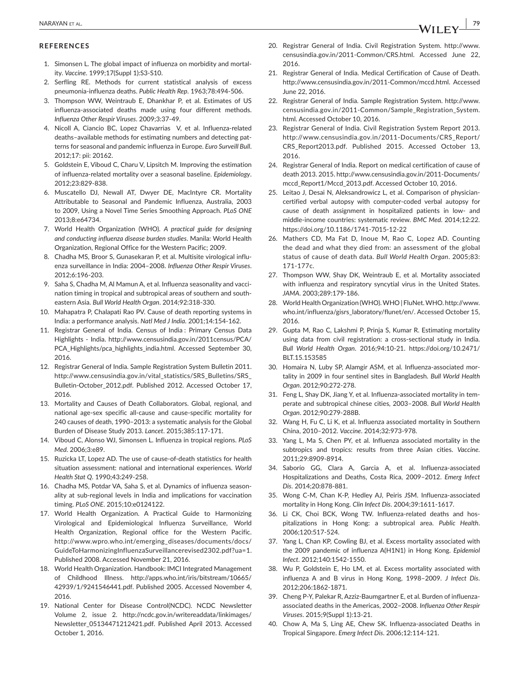#### **REFERENCES**

- 1. Simonsen L. The global impact of influenza on morbidity and mortality. *Vaccine*. 1999;17(Suppl 1):S3-S10.
- 2. Serfling RE. Methods for current statistical analysis of excess pneumonia- influenza deaths. *Public Health Rep*. 1963;78:494-506.
- 3. Thompson WW, Weintraub E, Dhankhar P, et al. Estimates of US influenza-associated deaths made using four different methods. *Influenza Other Respir Viruses*. 2009;3:37-49.
- 4. Nicoll A, Ciancio BC, Lopez Chavarrias V, et al. Influenza- related deaths–available methods for estimating numbers and detecting patterns for seasonal and pandemic influenza in Europe. *Euro Surveill Bull*. 2012;17: pii: 20162.
- 5. Goldstein E, Viboud C, Charu V, Lipsitch M. Improving the estimation of influenza- related mortality over a seasonal baseline. *Epidemiology*. 2012;23:829-838.
- 6. Muscatello DJ, Newall AT, Dwyer DE, MacIntyre CR. Mortality Attributable to Seasonal and Pandemic Influenza, Australia, 2003 to 2009, Using a Novel Time Series Smoothing Approach. *PLoS ONE* 2013;8:e64734.
- 7. World Health Organization (WHO). *A practical guide for designing and conducting influenza disease burden studies*. Manila: World Health Organization, Regional Office for the Western Pacific; 2009.
- 8. Chadha MS, Broor S, Gunasekaran P, et al. Multisite virological influenza surveillance in India: 2004–2008. *Influenza Other Respir Viruses*. 2012;6:196-203.
- 9. Saha S, Chadha M, Al Mamun A, et al. Influenza seasonality and vaccination timing in tropical and subtropical areas of southern and southeastern Asia. *Bull World Health Organ*. 2014;92:318-330.
- 10. Mahapatra P, Chalapati Rao PV. Cause of death reporting systems in India: a performance analysis. *Natl Med J India*. 2001;14:154-162.
- 11. Registrar General of India. Census of India : Primary Census Data Highlights - India. http://www.censusindia.gov.in/2011census/PCA/ PCA\_Highlights/pca\_highlights\_india.html. Accessed September 30, 2016.
- 12. Registrar General of India. Sample Registration System Bulletin 2011. http://www.censusindia.gov.in/vital\_statistics/SRS\_Bulletins/SRS\_ Bulletin-October\_2012.pdf. Published 2012. Accessed October 17, 2016.
- 13. Mortality and Causes of Death Collaborators. Global, regional, and national age-sex specific all-cause and cause-specific mortality for 240 causes of death, 1990–2013: a systematic analysis for the Global Burden of Disease Study 2013. *Lancet*. 2015;385:117-171.
- 14. Viboud C, Alonso WJ, Simonsen L. Influenza in tropical regions. *PLoS Med*. 2006;3:e89.
- 15. Ruzicka LT, Lopez AD. The use of cause- of- death statistics for health situation assessment: national and international experiences. *World Health Stat Q*. 1990;43:249-258.
- 16. Chadha MS, Potdar VA, Saha S, et al. Dynamics of influenza seasonality at sub-regional levels in India and implications for vaccination timing. *PLoS ONE*. 2015;10:e0124122.
- 17. World Health Organization. A Practical Guide to Harmonizing Virological and Epidemiological Influenza Surveillance, World Health Organization, Regional office for the Western Pacific. http://www.wpro.who.int/emerging\_diseases/documents/docs/ GuideToHarmonizingInfluenzaSurveillancerevised2302.pdf?ua=1. Published 2008. Accessed November 21, 2016.
- 18. World Health Organization. Handbook: IMCI Integrated Management of Childhood Illness. http://apps.who.int/iris/bitstream/10665/ 42939/1/9241546441.pdf. Published 2005. Accessed November 4, 2016.
- 19. National Center for Disease Control(NCDC). NCDC Newsletter Volume 2, issue 2. http://ncdc.gov.in/writereaddata/linkimages/ Newsletter\_05134471212421.pdf. Published April 2013. Accessed October 1, 2016.
- 20. Registrar General of India. Civil Registration System. http://www. censusindia.gov.in/2011-Common/CRS.html. Accessed June 22, 2016.
- 21. Registrar General of India. Medical Certification of Cause of Death. http://www.censusindia.gov.in/2011-Common/mccd.html. Accessed June 22, 2016.
- 22. Registrar General of India. Sample Registration System. http://www. censusindia.gov.in/2011-Common/Sample\_Registration\_System. html. Accessed October 10, 2016.
- 23. Registrar General of India. Civil Registration System Report 2013. http://www.censusindia.gov.in/2011-Documents/CRS\_Report/ CRS\_Report2013.pdf. Published 2015. Accessed October 13, 2016.
- 24. Registrar General of India. Report on medical certification of cause of death 2013. 2015. http://www.censusindia.gov.in/2011-Documents/ mccd\_Report1/Mccd\_2013.pdf. Accessed October 10, 2016.
- 25. Leitao J, Desai N, Aleksandrowicz L, et al. Comparison of physiciancertified verbal autopsy with computer- coded verbal autopsy for cause of death assignment in hospitalized patients in low- and middle- income countries: systematic review. *BMC Med*. 2014;12:22. https://doi.org/10.1186/1741-7015-12-22
- 26. Mathers CD, Ma Fat D, Inoue M, Rao C, Lopez AD. Counting the dead and what they died from: an assessment of the global status of cause of death data. *Bull World Health Organ*. 2005;83: 171-177c.
- 27. Thompson WW, Shay DK, Weintraub E, et al. Mortality associated with influenza and respiratory syncytial virus in the United States. *JAMA*. 2003;289:179-186.
- 28. World Health Organization (WHO). WHO | FluNet. WHO. http://www. who.int/influenza/gisrs\_laboratory/flunet/en/. Accessed October 15, 2016.
- 29. Gupta M, Rao C, Lakshmi P, Prinja S, Kumar R. Estimating mortality using data from civil registration: a cross- sectional study in India. *Bull World Health Organ*. 2016;94:10-21. https://doi.org/10.2471/ BLT.15.153585
- 30. Homaira N, Luby SP, Alamgir ASM, et al. Influenza- associated mortality in 2009 in four sentinel sites in Bangladesh. *Bull World Health Organ*. 2012;90:272-278.
- 31. Feng L, Shay DK, Jiang Y, et al. Influenza- associated mortality in temperate and subtropical chinese cities, 2003–2008. *Bull World Health Organ*. 2012;90:279-288B.
- 32. Wang H, Fu C, Li K, et al. Influenza associated mortality in Southern China, 2010–2012. *Vaccine*. 2014;32:973-978.
- 33. Yang L, Ma S, Chen PY, et al. Influenza associated mortality in the subtropics and tropics: results from three Asian cities. *Vaccine*. 2011;29:8909-8914.
- 34. Saborío GG, Clara A, Garcia A, et al. Influenza-associated Hospitalizations and Deaths, Costa Rica, 2009–2012. *Emerg Infect Dis*. 2014;20:878-881.
- 35. Wong C-M, Chan K-P, Hedley AJ, Peiris JSM. Influenza- associated mortality in Hong Kong. *Clin Infect Dis*. 2004;39:1611-1617.
- 36. Li CK, Choi BCK, Wong TW. Influenza-related deaths and hospitalizations in Hong Kong: a subtropical area. *Public Health*. 2006;120:517-524.
- 37. Yang L, Chan KP, Cowling BJ, et al. Excess mortality associated with the 2009 pandemic of influenza A(H1N1) in Hong Kong. *Epidemiol Infect*. 2012;140:1542-1550.
- 38. Wu P, Goldstein E, Ho LM, et al. Excess mortality associated with influenza A and B virus in Hong Kong, 1998–2009. *J Infect Dis*. 2012;206:1862-1871.
- 39. Cheng P-Y, Palekar R, Azziz-Baumgartner E, et al. Burden of influenzaassociated deaths in the Americas, 2002–2008. *Influenza Other Respir Viruses*. 2015;9(Suppl 1):13-21.
- 40. Chow A, Ma S, Ling AE, Chew SK. Influenza- associated Deaths in Tropical Singapore. *Emerg Infect Dis*. 2006;12:114-121.